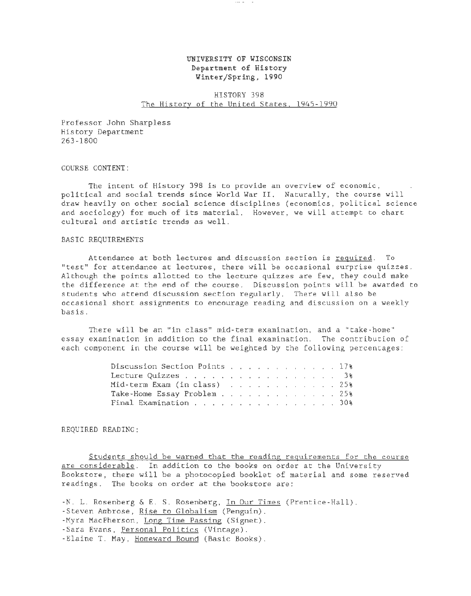# UNIVERSITY OF WISCONSIN Department of History Winter/Spring, 1990

 $\cdots$ 

# HISTORY 398 The History of the United States, 1945-1990

Professor John Sharpless History Department 263-1800

COURSE CONTENT:

The intent of History 398 is to provide an overview of economic, political and social trends since World War II. Naturally, the course will draw heavily on other social science disciplines (economics, political science and sociology) for much of its material. However, we will attempt to chart cultural and artistic trends as well.

#### BASIC REQUIREMENTS

Attendance at both lectures and discussion section is required. To "test" for attendance at lectures, there will be occasional surprise quizzes. Although the points allotted to the lecture quizzes are few, they could make the difference at the end of the course. Discussion points will be awarded to students who attend discussion section regularly. There will also be occasional short assignments to encourage reading and discussion on a weekly basis.

There will be an "in class" mid-term examination, and a "take-home" essay examination in addition to the final examination. The contribution of each component in the course will be weighted by the following percentages:

| Discussion Section Points 17%                                             |  |  |  |  |  |  |
|---------------------------------------------------------------------------|--|--|--|--|--|--|
| Lecture Quizzes,      3%                                                  |  |  |  |  |  |  |
| Mid-term Exam (in class) $\ldots$ $\ldots$ $\ldots$ $\ldots$ $\ldots$ 25% |  |  |  |  |  |  |
| Take-Home Essay Problem 25%                                               |  |  |  |  |  |  |
| Final Examination 30%                                                     |  |  |  |  |  |  |

REQUIRED READING:

Students should be warned that the reading requirements for the course are considerable. In addition to the books on order at the University Bookstore, there will be a photocopied booklet of material and some reserved readings. The books on order at the bookstore are:

-N. L. Rosenberg & E. S. Rosenberg, In Our Times (Prentice-Hall). -Steven Ambrose, Rise to Globalism (Penguin). -Myra MacPherson, Long Time Passing (Signet). -Sara Evans, Personal Politics (Vintage). -Elaine T. May, Homeward Bound (Basic Books).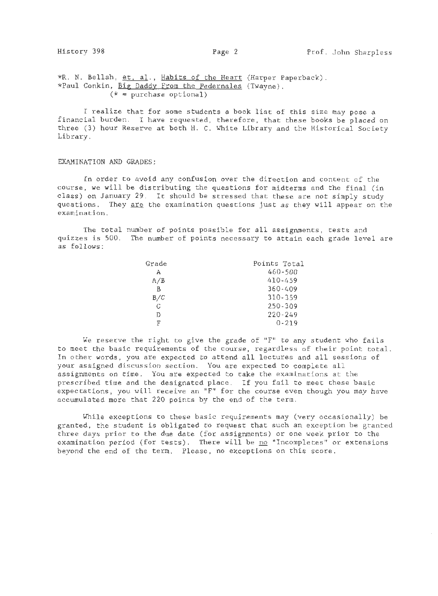\*R. N. Bellah, et, al., Habits of the Heart (Harper Paperback). \*Paul Conkin, Big Daddy From the Pedernales (Twayne).  $(* = purchase optional)$ 

I realize that for some students a book list of this size may pose a financial burden. I have requested, therefore, that these books be placed on three (3) hour Reserve at both H. C. White Library and the Historical Society Library.

#### EXAMINATION AND GRADES:

In order to avoid any confusion over the direction and content of the course, we will be distributing the questions for midterms and the final (in class) on January 29. It should be stressed that these are not simply study questions. They are the examination questions just as they will appear on the examination.

The total number of points possible for all assignments, tests and quizzes is 500. The number of points necessary to attain each grade level are as follows:

| Grade | Points Total |
|-------|--------------|
| А     | 460-500      |
| A/B   | 410-459      |
| в     | 360-409      |
| B/C   | $310 - 359$  |
| C     | 250-309      |
| D     | $220 - 249$  |
| F     | $0 - 219$    |

We reserve the right to give the grade of "F" to any student who fails to meet the basic requirements of the course, regardless of their point total. In other words, you are expected to attend all lectures and all sessions of your assigned discussion section. You are expected to complete all assignments on time. You are expected to take the examinations at the prescribed time and the designated place. If you fail to meet these basic expectations, you will receive an "F" for the course even though you may have accumulated more that 220 points by the end of the term.

While exceptions to these basic requirements may (very occasionally) be granted, the student is obligated to request that such an exception be granted three days prior to the due date (for assignments) or one week prior to the examination period (for tests). There will be no "Incompletes" or extensions beyond the end of the term. Please, no exceptions on this score.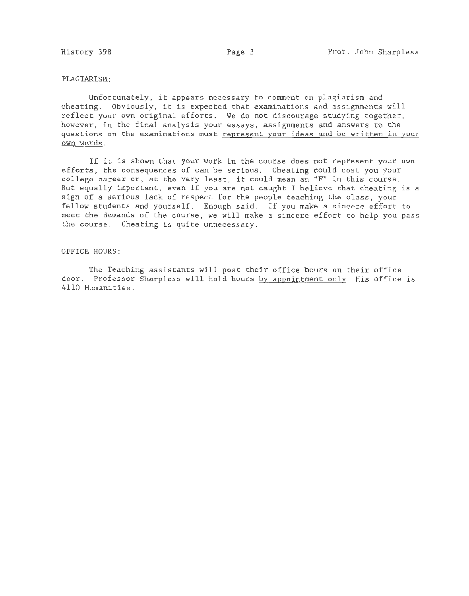### PLAGIARISM:

Unfortunately, it appears necessary to comment on plagiarism and cheating. Obviously, it is expected that examinations and assignments will reflect your own original efforts. We do not discourage studying together, however, in the final analysis your essays, assignments and answers to the questions on the examinations must represent your ideas and be written in your own words.

If it is shown that your work in the course does not represent your own efforts, the consequences of can be serious. Cheating could cost you your college career or, at the very least, it could mean an "F" in this course. But equally important, even if you are not caught I believe that cheating is a sign of a serious lack of respect for the people teaching the class, your fellow students and yourself. Enough said. If you make a sincere effort to meet the demands of the course, we will make a sincere effort to help you pass the course. Cheating is quite unnecessary.

## OFFICE HOURS:

The Teaching assistants will post their office hours on their office door. Professor Sharpless will hold hours by appointment only His office is 4110 Humanities.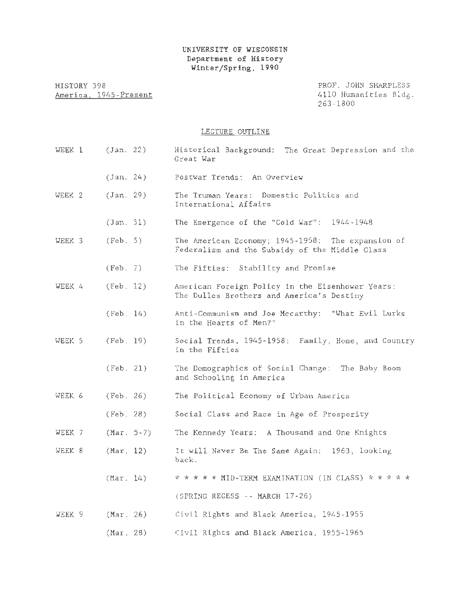HISTORY 398 America. 1945-Present PROF. JOHN SHARPLESS 4110 Humanities Bldg. 263-1800

# LECTURE OUTLINE

| WEEK 1            | (Jan. 22)    | Historical Background: The Great Depression and the<br>Great War                                    |
|-------------------|--------------|-----------------------------------------------------------------------------------------------------|
|                   | (Jan. 24)    | Postwar Trends: An Overview                                                                         |
| WEEK <sub>2</sub> | (Jan. 29)    | The Truman Years: Domestic Politics and<br>International Affairs                                    |
|                   | (Jan. 31)    | The Emergence of the "Cold War": 1944-1948                                                          |
| WEEK 3            | (Feb. 5)     | The American Economy; 1945-1958: The expansion of<br>Federalism and the Subsidy of the Middle Class |
|                   | (Feb. 7)     | The Fifties: Stability and Promise                                                                  |
| WEEK 4            | (Feb. 12)    | American Foreign Policy in the Eisenhower Years:<br>The Dulles Brothers and America's Destiny       |
|                   | (Feb. 14)    | Anti-Communism and Joe Mccarthy: "What Evil Lurks<br>in the Hearts of Men?"                         |
| WEEK 5            | (Feb. 19)    | Social Trends, 1945-1958: Family, Home, and Country<br>in the Fifties                               |
|                   | (Feb. 21)    | The Demographics of Social Change: The Baby Boom<br>and Schooling in America                        |
| WEEK 6            | (Feb. 26)    | The Political Economy of Urban America                                                              |
|                   | (Feb. 28)    | Social Class and Race in Age of Prosperity                                                          |
| WEEK 7            | $(Mar. 5-7)$ | The Kennedy Years: A Thousand and One Knights                                                       |
| WEEK 8            | (Mar. 12)    | It will Never Be The Same Again: 1963, looking<br>back.                                             |
|                   | (Mar. 14)    | * * * * * MID-TERM EXAMINATION (IN CLASS) * * * * *                                                 |
|                   |              | (SPRING RECESS -- MARCH 17-26)                                                                      |
| WEEK 9            | $(Mar. 26)$  | Civil Rights and Black America, 1945-1955                                                           |
|                   | (Mar, 28)    | Civil Rights and Black America, 1955-1965                                                           |